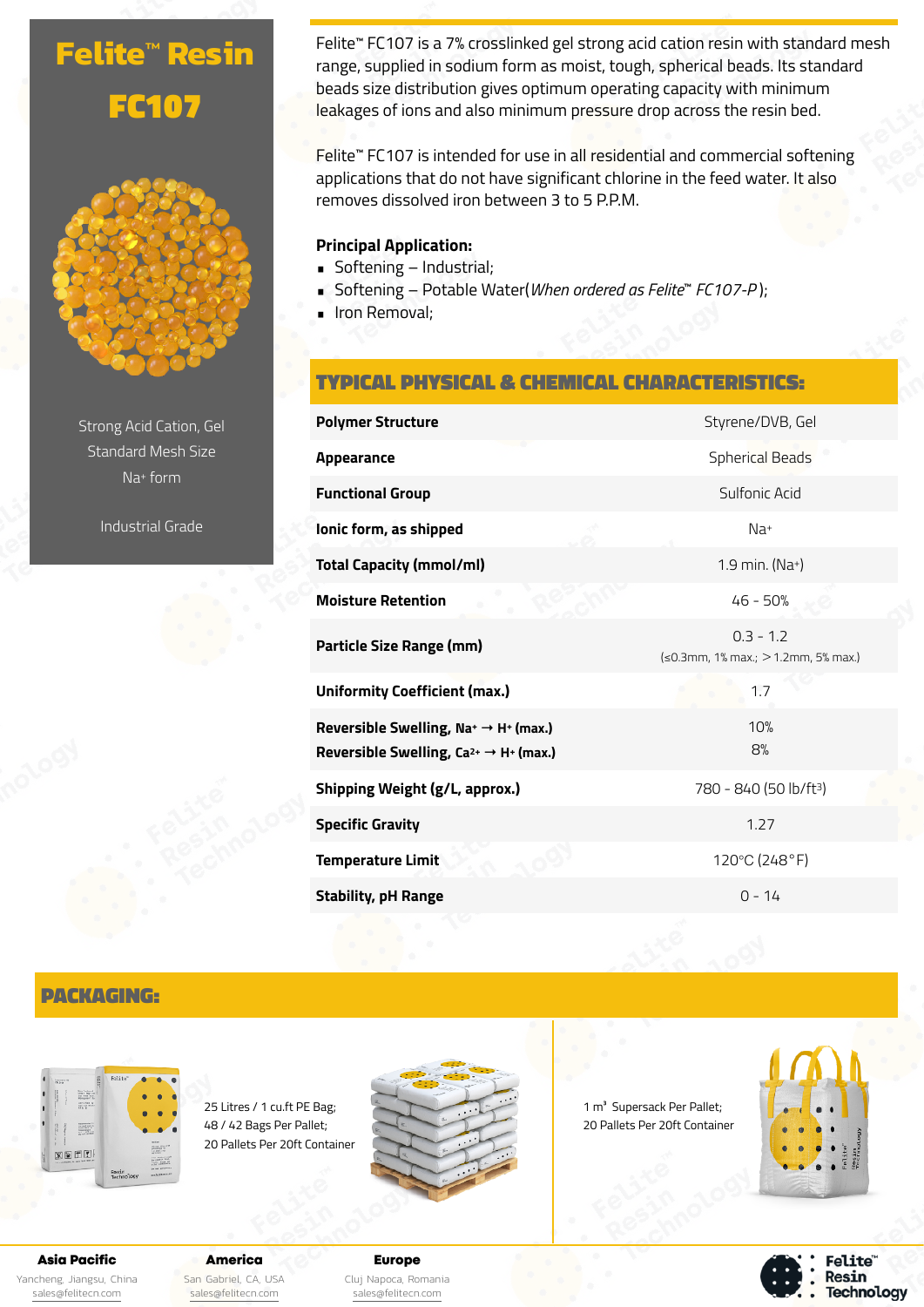# **Felite™ Resin** FC107



Strong Acid Cation, Gel Standard Mesh Size Na+ form

Industrial Grade

Felite™ FC107 is a 7% crosslinked gel strong acid cation resin with standard mesh range, supplied in sodium form as moist, tough, spherical beads. Its standard beads size distribution gives optimum operating capacity with minimum leakages of ions and also minimum pressure drop across the resin bed.

Felite™ FC107 is intended for use in all residential and commercial softening applications that do not have significant chlorine in the feed water. It also removes dissolved iron between 3 to 5 P.P.M.

#### **Principal Application:**

- Softening Industrial;
- Softening Potable Water(*When ordered as Felite*™ *FC107-P* );
- **· Iron Removal;**

# TYPICAL PHYSICAL & CHEMICAL CHARACTERISTICS:

| <b>Polymer Structure</b>                                                                                            | Styrene/DVB, Gel                                   |
|---------------------------------------------------------------------------------------------------------------------|----------------------------------------------------|
| Appearance                                                                                                          | <b>Spherical Beads</b>                             |
| <b>Functional Group</b>                                                                                             | Sulfonic Acid                                      |
| lonic form, as shipped                                                                                              | $Na+$                                              |
| <b>Total Capacity (mmol/ml)</b>                                                                                     | 1.9 min. (Na+)                                     |
| <b>Moisture Retention</b>                                                                                           | 46 - 50%                                           |
| Particle Size Range (mm)                                                                                            | $0.3 - 1.2$<br>(≤0.3mm, 1% max.; > 1.2mm, 5% max.) |
| <b>Uniformity Coefficient (max.)</b>                                                                                | 1.7                                                |
| Reversible Swelling, $Na^+ \rightarrow H^+$ (max.)<br>Reversible Swelling, Ca <sup>2+</sup> $\rightarrow$ H+ (max.) | 10%<br>8%                                          |
| Shipping Weight (g/L, approx.)                                                                                      | 780 - 840 (50 lb/ft <sup>3</sup> )                 |
| <b>Specific Gravity</b>                                                                                             | 1.27                                               |
| <b>Temperature Limit</b>                                                                                            | 120°C (248°F)                                      |
| <b>Stability, pH Range</b>                                                                                          | $0 - 14$                                           |

# PACKAGING:



25 Litres / 1 cu.ft PE Bag; 48 / 42 Bags Per Pallet; 20 Pallets Per 20ft Container



1 m<sup>3</sup> Supersack Per Pallet; 20 Pallets Per 20ft Container



**Felite** Resin **Technology** 

Asia Pacific

Yancheng, Jiangsu, China [sales@felitecn.com](mailto:sales@felitecn.com)

America San Gabriel, CA, USA [sales@felitecn.com](mailto:sales@felitecn.com)

Europe Cluj Napoca, Romania [sales@felitecn.com](mailto:sales@felitecn.com)